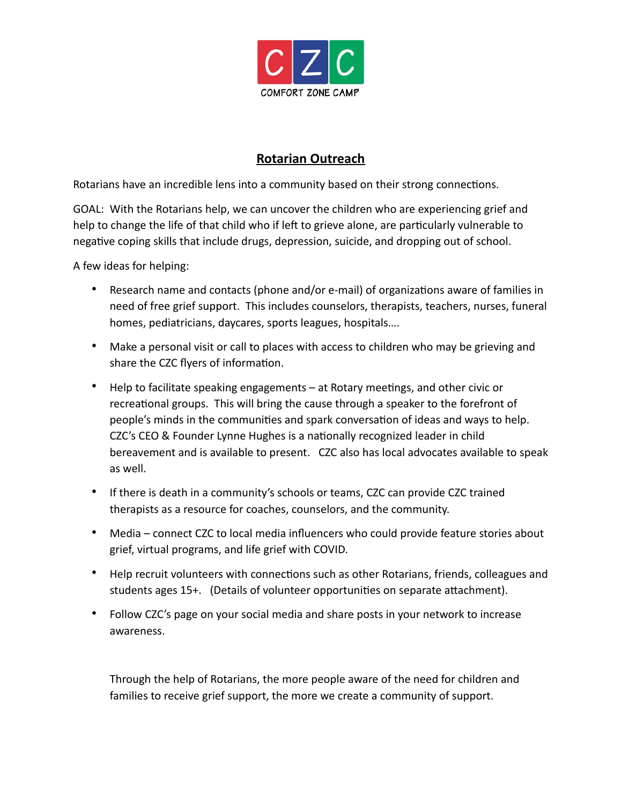

## **Rotarian Outreach**

Rotarians have an incredible lens into a community based on their strong connections.

GOAL: With the Rotarians help, we can uncover the children who are experiencing grief and help to change the life of that child who if left to grieve alone, are particularly vulnerable to negative coping skills that include drugs, depression, suicide, and dropping out of school.

A few ideas for helping:

- Research name and contacts (phone and/or e-mail) of organizations aware of families in need of free grief support. This includes counselors, therapists, teachers, nurses, funeral homes, pediatricians, daycares, sports leagues, hospitals….
- Make a personal visit or call to places with access to children who may be grieving and share the CZC flyers of information.
- Help to facilitate speaking engagements  $-$  at Rotary meetings, and other civic or recreational groups. This will bring the cause through a speaker to the forefront of people's minds in the communities and spark conversation of ideas and ways to help. CZC's CEO & Founder Lynne Hughes is a nationally recognized leader in child bereavement and is available to present. CZC also has local advocates available to speak as well.
- If there is death in a community's schools or teams, CZC can provide CZC trained therapists as a resource for coaches, counselors, and the community.
- Media connect CZC to local media influencers who could provide feature stories about grief, virtual programs, and life grief with COVID.
- Help recruit volunteers with connections such as other Rotarians, friends, colleagues and students ages 15+. (Details of volunteer opportunities on separate attachment).
- Follow CZC's page on your social media and share posts in your network to increase awareness.

Through the help of Rotarians, the more people aware of the need for children and families to receive grief support, the more we create a community of support.